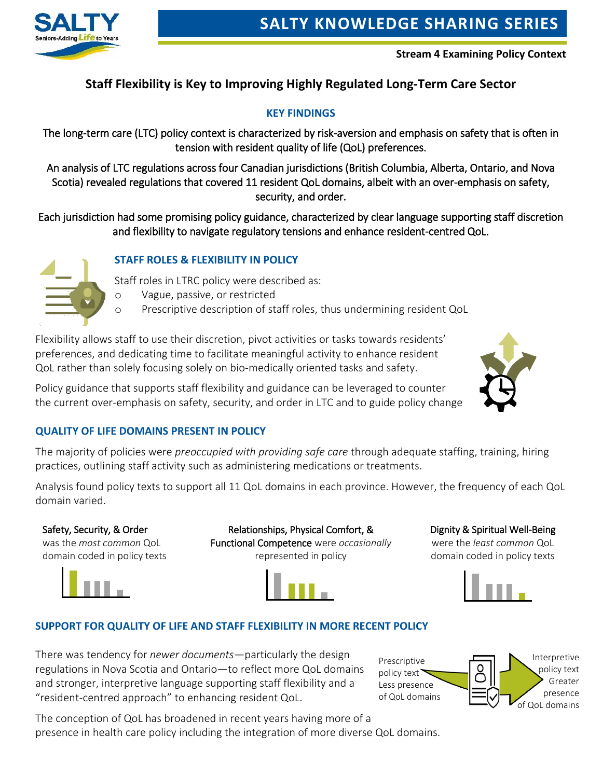

**Stream 4 Examining Policy Context**

# **Staff Flexibility is Key to Improving Highly Regulated Long-Term Care Sector**

#### **KEY FINDINGS**

The long-term care (LTC) policy context is characterized by risk-aversion and emphasis on safety that is often in tension with resident quality of life (QoL) preferences.

An analysis of LTC regulations across four Canadian jurisdictions (British Columbia, Alberta, Ontario, and Nova Scotia) revealed regulations that covered 11 resident QoL domains, albeit with an over-emphasis on safety, security, and order.

Each jurisdiction had some promising policy guidance, characterized by clear language supporting staff discretion and flexibility to navigate regulatory tensions and enhance resident-centred QoL.

#### **STAFF ROLES & FLEXIBILITY IN POLICY**

Staff roles in LTRC policy were described as:

- o Vague, passive, or restricted
- o Prescriptive description of staff roles, thus undermining resident QoL

Flexibility allows staff to use their discretion, pivot activities or tasks towards residents' preferences, and dedicating time to facilitate meaningful activity to enhance resident QoL rather than solely focusing solely on bio-medically oriented tasks and safety.

Policy guidance that supports staff flexibility and guidance can be leveraged to counter the current over-emphasis on safety, security, and order in LTC and to guide policy change



#### **QUALITY OF LIFE DOMAINS PRESENT IN POLICY**

The majority of policies were *preoccupied with providing safe care* through adequate staffing, training, hiring practices, outlining staff activity such as administering medications or treatments.

Analysis found policy texts to support all 11 QoL domains in each province. However, the frequency of each QoL domain varied.

#### Safety, Security, & Order

was the *most common* QoL domain coded in policy texts



Relationships, Physical Comfort, & Functional Competence were *occasionally* represented in policy



Dignity & Spiritual Well-Being

were the *least common* QoL domain coded in policy texts



## **SUPPORT FOR QUALITY OF LIFE AND STAFF FLEXIBILITY IN MORE RECENT POLICY**

There was tendency for *newer documents*—particularly the design regulations in Nova Scotia and Ontario—to reflect more QoL domains and stronger, interpretive language supporting staff flexibility and a "resident-centred approach" to enhancing resident QoL.

Prescriptive policy text Less presence of QoL domains Interpretive policy text Greater presence of QoL domains

The conception of QoL has broadened in recent years having more of a presence in health care policy including the integration of more diverse QoL domains.